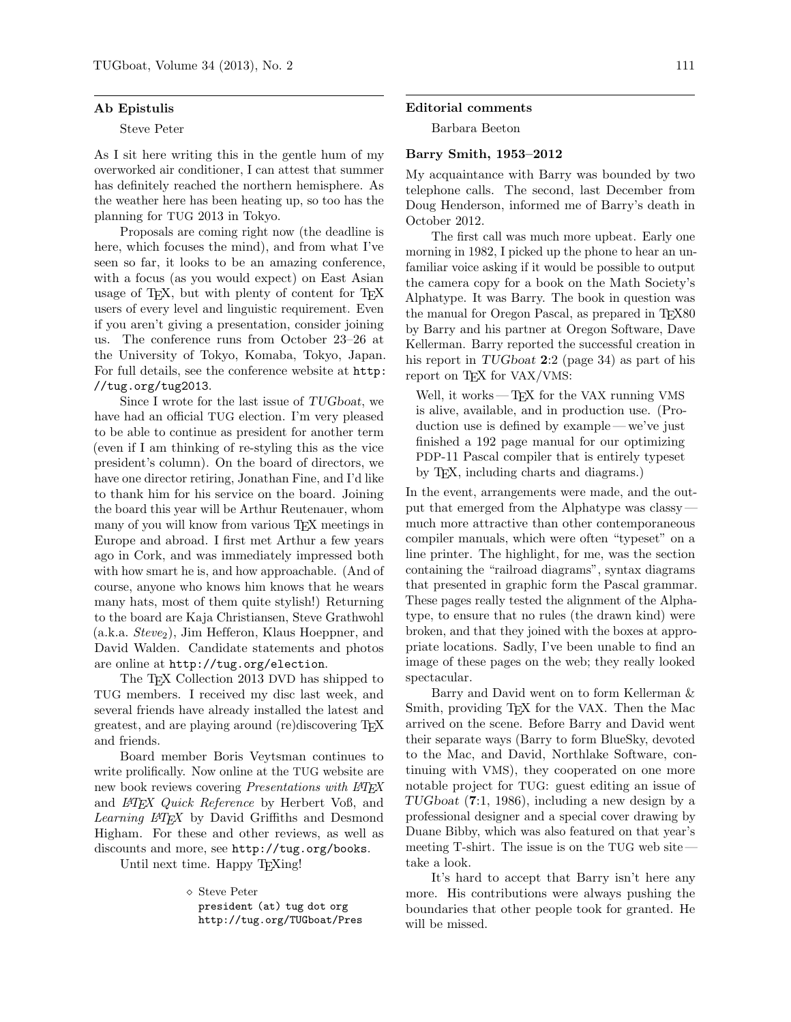### Ab Epistulis

# Steve Peter

As I sit here writing this in the gentle hum of my overworked air conditioner, I can attest that summer has definitely reached the northern hemisphere. As the weather here has been heating up, so too has the planning for TUG 2013 in Tokyo.

Proposals are coming right now (the deadline is here, which focuses the mind), and from what I've seen so far, it looks to be an amazing conference, with a focus (as you would expect) on East Asian usage of T<sub>E</sub>X, but with plenty of content for T<sub>E</sub>X users of every level and linguistic requirement. Even if you aren't giving a presentation, consider joining us. The conference runs from October 23–26 at the University of Tokyo, Komaba, Tokyo, Japan. For full details, see the conference website at http: //tug.org/tug2013.

Since I wrote for the last issue of TUGboat, we have had an official TUG election. I'm very pleased to be able to continue as president for another term (even if I am thinking of re-styling this as the vice president's column). On the board of directors, we have one director retiring, Jonathan Fine, and I'd like to thank him for his service on the board. Joining the board this year will be Arthur Reutenauer, whom many of you will know from various T<sub>E</sub>X meetings in Europe and abroad. I first met Arthur a few years ago in Cork, and was immediately impressed both with how smart he is, and how approachable. (And of course, anyone who knows him knows that he wears many hats, most of them quite stylish!) Returning to the board are Kaja Christiansen, Steve Grathwohl  $(a.k.a. Steve<sub>2</sub>)$ , Jim Hefferon, Klaus Hoeppner, and David Walden. Candidate statements and photos are online at http://tug.org/election.

The T<sub>E</sub>X Collection 2013 DVD has shipped to TUG members. I received my disc last week, and several friends have already installed the latest and greatest, and are playing around (re)discovering TEX and friends.

Board member Boris Veytsman continues to write prolifically. Now online at the TUG website are new book reviews covering Presentations with LATEX and LATEX Quick Reference by Herbert Voß, and Learning  $\cancel{ETPX}$  by David Griffiths and Desmond Higham. For these and other reviews, as well as discounts and more, see http://tug.org/books.

Until next time. Happy TEXing!

 Steve Peter president (at) tug dot org http://tug.org/TUGboat/Pres

#### Editorial comments

Barbara Beeton

### Barry Smith, 1953–2012

My acquaintance with Barry was bounded by two telephone calls. The second, last December from Doug Henderson, informed me of Barry's death in October 2012.

The first call was much more upbeat. Early one morning in 1982, I picked up the phone to hear an unfamiliar voice asking if it would be possible to output the camera copy for a book on the Math Society's Alphatype. It was Barry. The book in question was the manual for Oregon Pascal, as prepared in T<sub>E</sub>X80 by Barry and his partner at Oregon Software, Dave Kellerman. Barry reported the successful creation in his report in TUGboat 2:2 (page 34) as part of his report on T<sub>F</sub>X for VAX/VMS:

Well, it works — TEX for the VAX running VMS is alive, available, and in production use. (Production use is defined by example— we've just finished a 192 page manual for our optimizing PDP-11 Pascal compiler that is entirely typeset by TEX, including charts and diagrams.)

In the event, arrangements were made, and the output that emerged from the Alphatype was classy much more attractive than other contemporaneous compiler manuals, which were often "typeset" on a line printer. The highlight, for me, was the section containing the "railroad diagrams", syntax diagrams that presented in graphic form the Pascal grammar. These pages really tested the alignment of the Alphatype, to ensure that no rules (the drawn kind) were broken, and that they joined with the boxes at appropriate locations. Sadly, I've been unable to find an image of these pages on the web; they really looked spectacular.

Barry and David went on to form Kellerman & Smith, providing T<sub>EX</sub> for the VAX. Then the Mac arrived on the scene. Before Barry and David went their separate ways (Barry to form BlueSky, devoted to the Mac, and David, Northlake Software, continuing with VMS), they cooperated on one more notable project for TUG: guest editing an issue of TUGboat (7:1, 1986), including a new design by a professional designer and a special cover drawing by Duane Bibby, which was also featured on that year's meeting T-shirt. The issue is on the TUG web site  $$ take a look.

It's hard to accept that Barry isn't here any more. His contributions were always pushing the boundaries that other people took for granted. He will be missed.